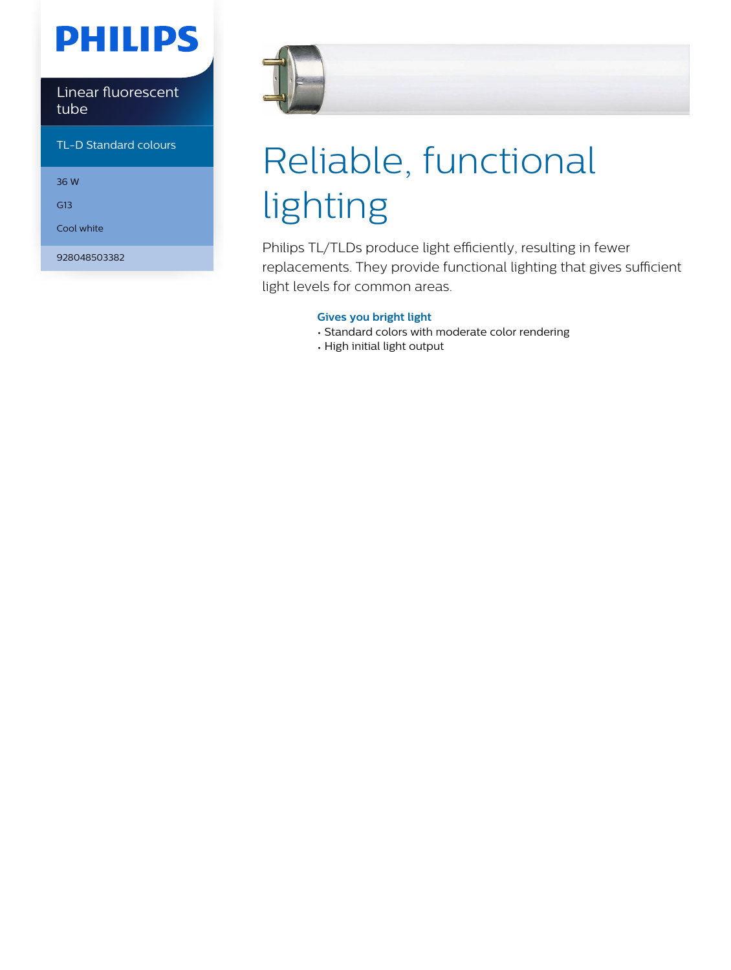## **PHILIPS**

#### Linear fluorescent tube

#### TL-D Standard colours

36 W

G13

Cool white

928048503382



# Reliable, functional lighting

Philips TL/TLDs produce light efficiently, resulting in fewer replacements. They provide functional lighting that gives sufficient light levels for common areas.

#### **Gives you bright light**

- Standard colors with moderate color rendering
- High initial light output